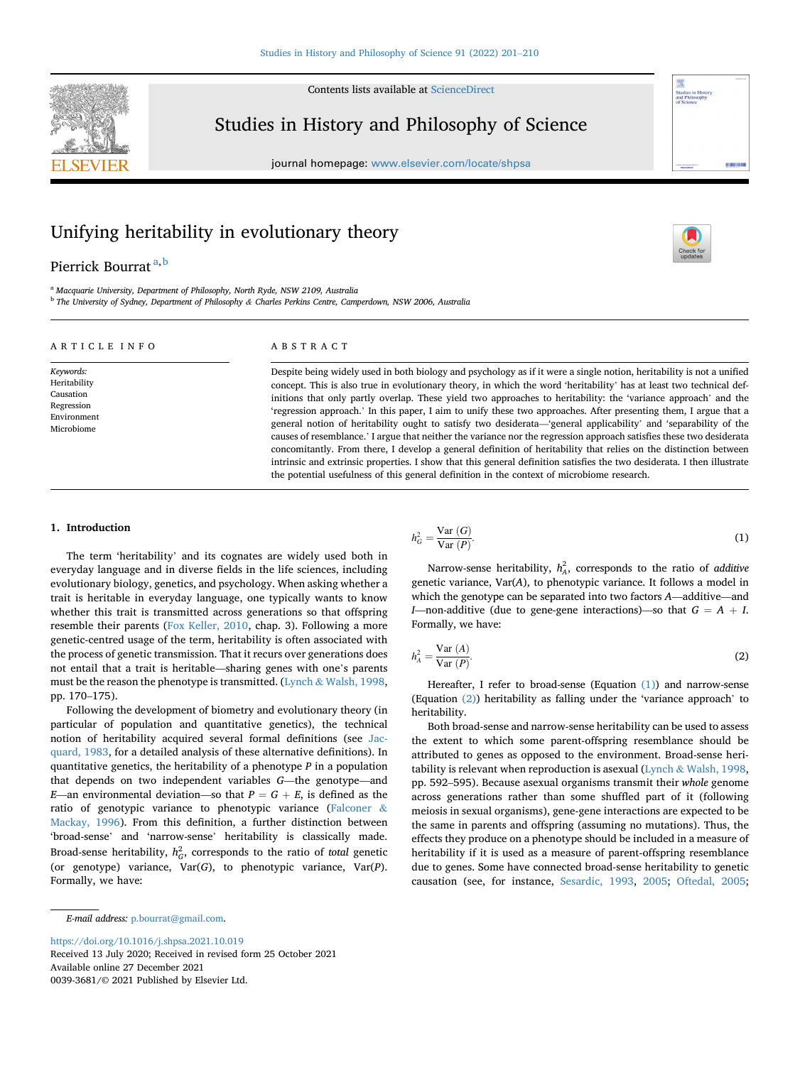Contents lists available at [ScienceDirect](www.sciencedirect.com/science/journal/00393681)



Studies in History and Philosophy of Science

journal homepage: <www.elsevier.com/locate/shpsa>



# Unifying heritability in evolutionary theory

# Pierrick Bourr[a](#page-0-0)t<sup>a,[b](#page-0-1)</sup>

<span id="page-0-1"></span><span id="page-0-0"></span><sup>a</sup> Macquarie University, Department of Philosophy, North Ryde, NSW 2109, Australia <sup>b</sup> The University of Sydney, Department of Philosophy & Charles Perkins Centre, Camperdown, NSW 2006, Australia

# ARTICLE INFO

Keywords: Heritability Causation Regression Environment Microbiome

# ABSTRACT

Despite being widely used in both biology and psychology as if it were a single notion, heritability is not a unified concept. This is also true in evolutionary theory, in which the word 'heritability' has at least two technical definitions that only partly overlap. These yield two approaches to heritability: the 'variance approach' and the 'regression approach.' In this paper, I aim to unify these two approaches. After presenting them, I argue that a general notion of heritability ought to satisfy two desiderata—'general applicability' and 'separability of the causes of resemblance.' I argue that neither the variance nor the regression approach satisfies these two desiderata concomitantly. From there, I develop a general definition of heritability that relies on the distinction between intrinsic and extrinsic properties. I show that this general definition satisfies the two desiderata. I then illustrate the potential usefulness of this general definition in the context of microbiome research.

# 1. Introduction

The term 'heritability' and its cognates are widely used both in everyday language and in diverse fields in the life sciences, including evolutionary biology, genetics, and psychology. When asking whether a trait is heritable in everyday language, one typically wants to know whether this trait is transmitted across generations so that offspring resemble their parents ([Fox Keller, 2010,](#page-9-0) chap. 3). Following a more genetic-centred usage of the term, heritability is often associated with the process of genetic transmission. That it recurs over generations does not entail that a trait is heritable—sharing genes with one's parents must be the reason the phenotype is transmitted. ([Lynch](#page-9-1) & [Walsh, 1998,](#page-9-1) pp. 170–175).

Following the development of biometry and evolutionary theory (in particular of population and quantitative genetics), the technical notion of heritability acquired several formal definitions (see [Jac](#page-9-2)[quard, 1983,](#page-9-2) for a detailed analysis of these alternative definitions). In quantitative genetics, the heritability of a phenotype  $P$  in a population that depends on two independent variables G—the genotype—and E—an environmental deviation—so that  $P = G + E$ , is defined as the ratio of genotypic variance to phenotypic variance [\(Falconer](#page-9-3) & [Mackay, 1996](#page-9-3)). From this definition, a further distinction between 'broad-sense' and 'narrow-sense' heritability is classically made. Broad-sense heritability,  $h_G^2$ , corresponds to the ratio of *total* genetic (or genotype) variance,  $Var(G)$ , to phenotypic variance,  $Var(P)$ . Formally, we have:

E-mail address: [p.bourrat@gmail.com](mailto:p.bourrat@gmail.com).

<https://doi.org/10.1016/j.shpsa.2021.10.019>

Received 13 July 2020; Received in revised form 25 October 2021 Available online 27 December 2021 0039-3681/© 2021 Published by Elsevier Ltd.

<span id="page-0-2"></span>
$$
h_G^2 = \frac{\text{Var}(G)}{\text{Var}(P)}.\tag{1}
$$

Narrow-sense heritability,  $h_A^2$ , corresponds to the ratio of *additive* genetic variance, Var(A), to phenotypic variance. It follows a model in which the genotype can be separated into two factors A—additive—and I—non-additive (due to gene-gene interactions)—so that  $G = A + I$ . Formally, we have:

<span id="page-0-3"></span>
$$
h_A^2 = \frac{\text{Var}(A)}{\text{Var}(P)}.\tag{2}
$$

Hereafter, I refer to broad-sense (Equation [\(1\)](#page-0-2)) and narrow-sense (Equation [\(2\)\)](#page-0-3) heritability as falling under the 'variance approach' to heritability.

Both broad-sense and narrow-sense heritability can be used to assess the extent to which some parent-offspring resemblance should be attributed to genes as opposed to the environment. Broad-sense heritability is relevant when reproduction is asexual [\(Lynch](#page-9-1) & [Walsh, 1998,](#page-9-1) pp. 592–595). Because asexual organisms transmit their whole genome across generations rather than some shuffled part of it (following meiosis in sexual organisms), gene-gene interactions are expected to be the same in parents and offspring (assuming no mutations). Thus, the effects they produce on a phenotype should be included in a measure of heritability if it is used as a measure of parent-offspring resemblance due to genes. Some have connected broad-sense heritability to genetic causation (see, for instance, [Sesardic, 1993](#page-9-4), [2005](#page-9-5); [Oftedal, 2005;](#page-9-6)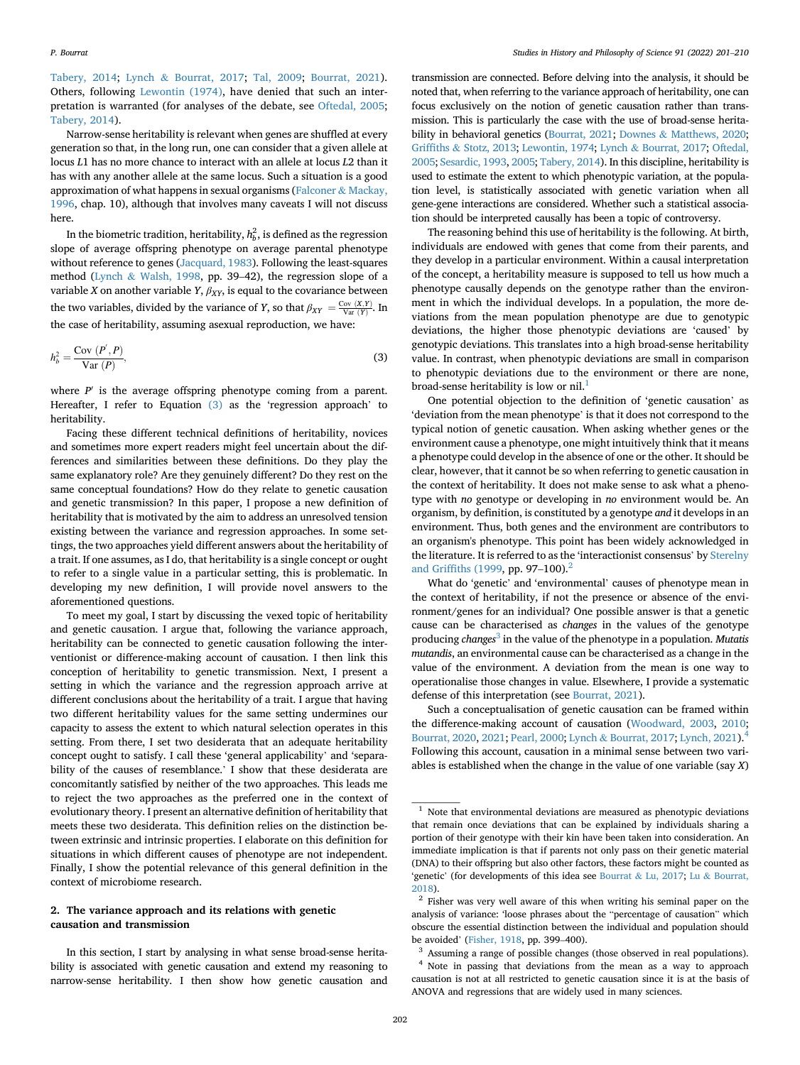[Tabery, 2014](#page-9-7); [Lynch](#page-9-8) & [Bourrat, 2017](#page-9-8); [Tal, 2009;](#page-9-9) [Bourrat, 2021](#page-8-0)). Others, following [Lewontin \(1974\),](#page-9-10) have denied that such an interpretation is warranted (for analyses of the debate, see [Oftedal, 2005;](#page-9-6) [Tabery, 2014](#page-9-7)).

Narrow-sense heritability is relevant when genes are shuffled at every generation so that, in the long run, one can consider that a given allele at locus L1 has no more chance to interact with an allele at locus L2 than it has with any another allele at the same locus. Such a situation is a good approximation of what happens in sexual organisms [\(Falconer](#page-9-3) & [Mackay,](#page-9-3) [1996,](#page-9-3) chap. 10), although that involves many caveats I will not discuss here.

In the biometric tradition, heritability,  $h_b^2$ , is defined as the regression slope of average offspring phenotype on average parental phenotype without reference to genes [\(Jacquard, 1983\)](#page-9-2). Following the least-squares method ([Lynch](#page-9-1) & [Walsh, 1998](#page-9-1), pp. 39–42), the regression slope of a variable *X* on another variable *Y*,  $\beta_{XY}$ , is equal to the covariance between the two variables, divided by the variance of Y, so that  $\beta_{XY} = \frac{Cov(X,Y)}{Var(Y)}$ . In the case of heritability, assuming asexual reproduction, we have:

<span id="page-1-0"></span>
$$
h_b^2 = \frac{\text{Cov} (P', P)}{\text{Var} (P)},\tag{3}
$$

where  $P'$  is the average offspring phenotype coming from a parent. Hereafter, I refer to Equation [\(3\)](#page-1-0) as the 'regression approach' to heritability.

Facing these different technical definitions of heritability, novices and sometimes more expert readers might feel uncertain about the differences and similarities between these definitions. Do they play the same explanatory role? Are they genuinely different? Do they rest on the same conceptual foundations? How do they relate to genetic causation and genetic transmission? In this paper, I propose a new definition of heritability that is motivated by the aim to address an unresolved tension existing between the variance and regression approaches. In some settings, the two approaches yield different answers about the heritability of a trait. If one assumes, as I do, that heritability is a single concept or ought to refer to a single value in a particular setting, this is problematic. In developing my new definition, I will provide novel answers to the aforementioned questions.

To meet my goal, I start by discussing the vexed topic of heritability and genetic causation. I argue that, following the variance approach, heritability can be connected to genetic causation following the interventionist or difference-making account of causation. I then link this conception of heritability to genetic transmission. Next, I present a setting in which the variance and the regression approach arrive at different conclusions about the heritability of a trait. I argue that having two different heritability values for the same setting undermines our capacity to assess the extent to which natural selection operates in this setting. From there, I set two desiderata that an adequate heritability concept ought to satisfy. I call these 'general applicability' and 'separability of the causes of resemblance.' I show that these desiderata are concomitantly satisfied by neither of the two approaches. This leads me to reject the two approaches as the preferred one in the context of evolutionary theory. I present an alternative definition of heritability that meets these two desiderata. This definition relies on the distinction between extrinsic and intrinsic properties. I elaborate on this definition for situations in which different causes of phenotype are not independent. Finally, I show the potential relevance of this general definition in the context of microbiome research.

# <span id="page-1-5"></span>2. The variance approach and its relations with genetic causation and transmission

In this section, I start by analysing in what sense broad-sense heritability is associated with genetic causation and extend my reasoning to narrow-sense heritability. I then show how genetic causation and

transmission are connected. Before delving into the analysis, it should be noted that, when referring to the variance approach of heritability, one can focus exclusively on the notion of genetic causation rather than transmission. This is particularly the case with the use of broad-sense heritability in behavioral genetics ([Bourrat, 2021;](#page-8-0) [Downes](#page-9-11) & [Matthews, 2020;](#page-9-11) [Grif](#page-9-12)fiths & [Stotz, 2013](#page-9-12); [Lewontin, 1974;](#page-9-10) [Lynch](#page-9-8) & [Bourrat, 2017](#page-9-8); [Oftedal,](#page-9-6) [2005](#page-9-6); [Sesardic, 1993](#page-9-4), [2005](#page-9-5); [Tabery, 2014](#page-9-7)). In this discipline, heritability is used to estimate the extent to which phenotypic variation, at the population level, is statistically associated with genetic variation when all gene-gene interactions are considered. Whether such a statistical association should be interpreted causally has been a topic of controversy.

The reasoning behind this use of heritability is the following. At birth, individuals are endowed with genes that come from their parents, and they develop in a particular environment. Within a causal interpretation of the concept, a heritability measure is supposed to tell us how much a phenotype causally depends on the genotype rather than the environment in which the individual develops. In a population, the more deviations from the mean population phenotype are due to genotypic deviations, the higher those phenotypic deviations are 'caused' by genotypic deviations. This translates into a high broad-sense heritability value. In contrast, when phenotypic deviations are small in comparison to phenotypic deviations due to the environment or there are none, broad-sense heritability is low or nil.<sup>[1](#page-1-1)</sup>

One potential objection to the definition of 'genetic causation' as 'deviation from the mean phenotype' is that it does not correspond to the typical notion of genetic causation. When asking whether genes or the environment cause a phenotype, one might intuitively think that it means a phenotype could develop in the absence of one or the other. It should be clear, however, that it cannot be so when referring to genetic causation in the context of heritability. It does not make sense to ask what a phenotype with no genotype or developing in no environment would be. An organism, by definition, is constituted by a genotype and it develops in an environment. Thus, both genes and the environment are contributors to an organism's phenotype. This point has been widely acknowledged in the literature. It is referred to as the 'interactionist consensus' by [Sterelny](#page-9-13) and Griffi[ths \(1999,](#page-9-13) pp. 97–100). $^{2}$ 

What do 'genetic' and 'environmental' causes of phenotype mean in the context of heritability, if not the presence or absence of the environment/genes for an individual? One possible answer is that a genetic cause can be characterised as changes in the values of the genotype producing changes<sup>[3](#page-1-3)</sup> in the value of the phenotype in a population. Mutatis mutandis, an environmental cause can be characterised as a change in the value of the environment. A deviation from the mean is one way to operationalise those changes in value. Elsewhere, I provide a systematic defense of this interpretation (see [Bourrat, 2021](#page-8-0)).

Such a conceptualisation of genetic causation can be framed within the difference-making account of causation ([Woodward, 2003,](#page-9-14) [2010;](#page-9-15) [Bourrat, 2020,](#page-8-1) [2021](#page-8-0); [Pearl, 2000;](#page-9-16) [Lynch](#page-9-8) & [Bourrat, 2017;](#page-9-8) [Lynch, 2021](#page-9-17))[.4](#page-1-4) Following this account, causation in a minimal sense between two variables is established when the change in the value of one variable (say X)

<span id="page-1-1"></span> $^{\rm 1}$  Note that environmental deviations are measured as phenotypic deviations that remain once deviations that can be explained by individuals sharing a portion of their genotype with their kin have been taken into consideration. An immediate implication is that if parents not only pass on their genetic material (DNA) to their offspring but also other factors, these factors might be counted as 'genetic' (for developments of this idea see [Bourrat](#page-9-18) & [Lu, 2017](#page-9-18); [Lu](#page-9-19) & [Bourrat,](#page-9-19) [2018\)](#page-9-19).

<span id="page-1-2"></span><sup>&</sup>lt;sup>2</sup> Fisher was very well aware of this when writing his seminal paper on the analysis of variance: 'loose phrases about the "percentage of causation" which obscure the essential distinction between the individual and population should be avoided' ([Fisher, 1918,](#page-9-20) pp. 399–400).

<span id="page-1-4"></span><span id="page-1-3"></span><sup>3</sup> Assuming a range of possible changes (those observed in real populations). Note in passing that deviations from the mean as a way to approach causation is not at all restricted to genetic causation since it is at the basis of ANOVA and regressions that are widely used in many sciences.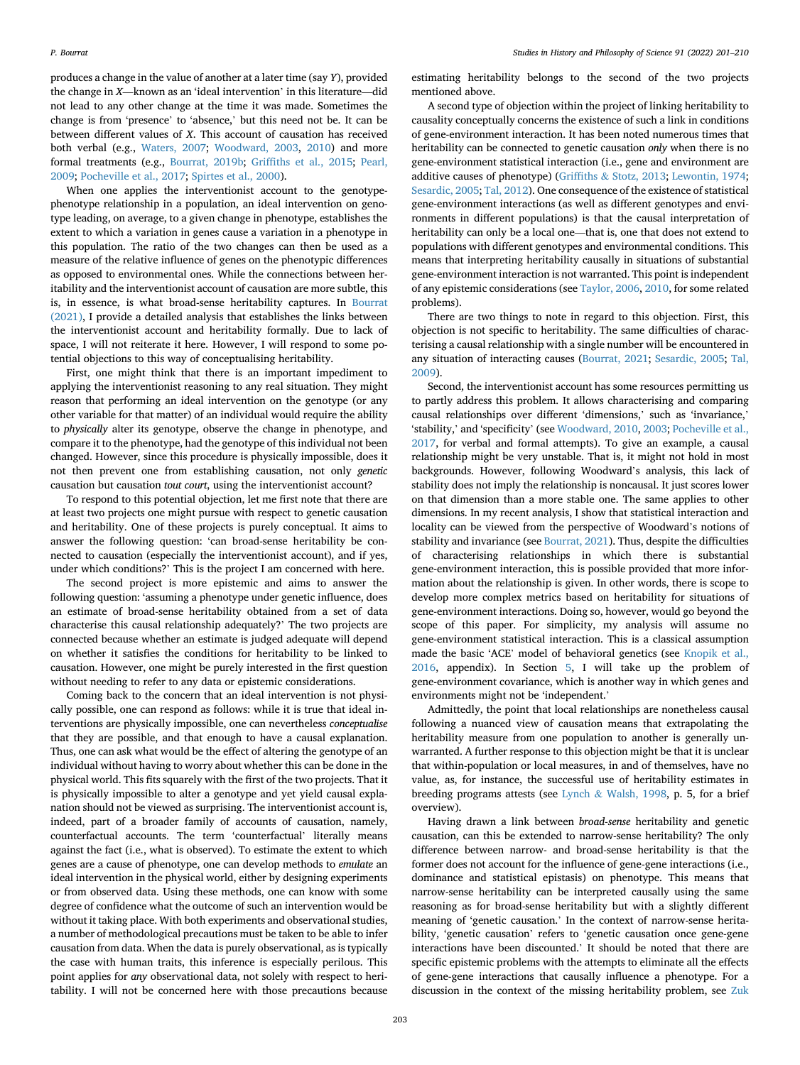produces a change in the value of another at a later time (say Y), provided the change in X—known as an 'ideal intervention' in this literature—did not lead to any other change at the time it was made. Sometimes the change is from 'presence' to 'absence,' but this need not be. It can be between different values of X. This account of causation has received both verbal (e.g., [Waters, 2007;](#page-9-21) [Woodward, 2003](#page-9-14), [2010](#page-9-15)) and more formal treatments (e.g., [Bourrat, 2019b](#page-8-2); Griffi[ths et al., 2015;](#page-9-22) [Pearl,](#page-9-23) [2009;](#page-9-23) [Pocheville et al., 2017](#page-9-24); [Spirtes et al., 2000\)](#page-9-25).

When one applies the interventionist account to the genotypephenotype relationship in a population, an ideal intervention on genotype leading, on average, to a given change in phenotype, establishes the extent to which a variation in genes cause a variation in a phenotype in this population. The ratio of the two changes can then be used as a measure of the relative influence of genes on the phenotypic differences as opposed to environmental ones. While the connections between heritability and the interventionist account of causation are more subtle, this is, in essence, is what broad-sense heritability captures. In [Bourrat](#page-8-0) [\(2021\)](#page-8-0), I provide a detailed analysis that establishes the links between the interventionist account and heritability formally. Due to lack of space, I will not reiterate it here. However, I will respond to some potential objections to this way of conceptualising heritability.

First, one might think that there is an important impediment to applying the interventionist reasoning to any real situation. They might reason that performing an ideal intervention on the genotype (or any other variable for that matter) of an individual would require the ability to physically alter its genotype, observe the change in phenotype, and compare it to the phenotype, had the genotype of this individual not been changed. However, since this procedure is physically impossible, does it not then prevent one from establishing causation, not only genetic causation but causation tout court, using the interventionist account?

To respond to this potential objection, let me first note that there are at least two projects one might pursue with respect to genetic causation and heritability. One of these projects is purely conceptual. It aims to answer the following question: 'can broad-sense heritability be connected to causation (especially the interventionist account), and if yes, under which conditions?' This is the project I am concerned with here.

The second project is more epistemic and aims to answer the following question: 'assuming a phenotype under genetic influence, does an estimate of broad-sense heritability obtained from a set of data characterise this causal relationship adequately?' The two projects are connected because whether an estimate is judged adequate will depend on whether it satisfies the conditions for heritability to be linked to causation. However, one might be purely interested in the first question without needing to refer to any data or epistemic considerations.

Coming back to the concern that an ideal intervention is not physically possible, one can respond as follows: while it is true that ideal interventions are physically impossible, one can nevertheless conceptualise that they are possible, and that enough to have a causal explanation. Thus, one can ask what would be the effect of altering the genotype of an individual without having to worry about whether this can be done in the physical world. This fits squarely with the first of the two projects. That it is physically impossible to alter a genotype and yet yield causal explanation should not be viewed as surprising. The interventionist account is, indeed, part of a broader family of accounts of causation, namely, counterfactual accounts. The term 'counterfactual' literally means against the fact (i.e., what is observed). To estimate the extent to which genes are a cause of phenotype, one can develop methods to emulate an ideal intervention in the physical world, either by designing experiments or from observed data. Using these methods, one can know with some degree of confidence what the outcome of such an intervention would be without it taking place. With both experiments and observational studies, a number of methodological precautions must be taken to be able to infer causation from data. When the data is purely observational, as is typically the case with human traits, this inference is especially perilous. This point applies for any observational data, not solely with respect to heritability. I will not be concerned here with those precautions because

estimating heritability belongs to the second of the two projects mentioned above.

A second type of objection within the project of linking heritability to causality conceptually concerns the existence of such a link in conditions of gene-environment interaction. It has been noted numerous times that heritability can be connected to genetic causation only when there is no gene-environment statistical interaction (i.e., gene and environment are additive causes of phenotype) [\(Grif](#page-9-12)fiths & [Stotz, 2013;](#page-9-12) [Lewontin, 1974;](#page-9-10) [Sesardic, 2005;](#page-9-5) [Tal, 2012](#page-9-26)). One consequence of the existence of statistical gene-environment interactions (as well as different genotypes and environments in different populations) is that the causal interpretation of heritability can only be a local one—that is, one that does not extend to populations with different genotypes and environmental conditions. This means that interpreting heritability causally in situations of substantial gene-environment interaction is not warranted. This point is independent of any epistemic considerations (see [Taylor, 2006](#page-9-27), [2010](#page-9-28), for some related problems).

There are two things to note in regard to this objection. First, this objection is not specific to heritability. The same difficulties of characterising a causal relationship with a single number will be encountered in any situation of interacting causes ([Bourrat, 2021;](#page-8-0) [Sesardic, 2005](#page-9-5); [Tal,](#page-9-9) [2009\)](#page-9-9).

Second, the interventionist account has some resources permitting us to partly address this problem. It allows characterising and comparing causal relationships over different 'dimensions,' such as 'invariance,' 'stability,' and 'specificity' (see [Woodward, 2010](#page-9-15), [2003;](#page-9-14) [Pocheville et al.,](#page-9-24) [2017,](#page-9-24) for verbal and formal attempts). To give an example, a causal relationship might be very unstable. That is, it might not hold in most backgrounds. However, following Woodward's analysis, this lack of stability does not imply the relationship is noncausal. It just scores lower on that dimension than a more stable one. The same applies to other dimensions. In my recent analysis, I show that statistical interaction and locality can be viewed from the perspective of Woodward's notions of stability and invariance (see [Bourrat, 2021](#page-8-0)). Thus, despite the difficulties of characterising relationships in which there is substantial gene-environment interaction, this is possible provided that more information about the relationship is given. In other words, there is scope to develop more complex metrics based on heritability for situations of gene-environment interactions. Doing so, however, would go beyond the scope of this paper. For simplicity, my analysis will assume no gene-environment statistical interaction. This is a classical assumption made the basic 'ACE' model of behavioral genetics (see [Knopik et al.,](#page-9-29) [2016,](#page-9-29) appendix). In Section [5,](#page-6-0) I will take up the problem of gene-environment covariance, which is another way in which genes and environments might not be 'independent.'

Admittedly, the point that local relationships are nonetheless causal following a nuanced view of causation means that extrapolating the heritability measure from one population to another is generally unwarranted. A further response to this objection might be that it is unclear that within-population or local measures, in and of themselves, have no value, as, for instance, the successful use of heritability estimates in breeding programs attests (see [Lynch](#page-9-1) & [Walsh, 1998](#page-9-1), p. 5, for a brief overview).

Having drawn a link between broad-sense heritability and genetic causation, can this be extended to narrow-sense heritability? The only difference between narrow- and broad-sense heritability is that the former does not account for the influence of gene-gene interactions (i.e., dominance and statistical epistasis) on phenotype. This means that narrow-sense heritability can be interpreted causally using the same reasoning as for broad-sense heritability but with a slightly different meaning of 'genetic causation.' In the context of narrow-sense heritability, 'genetic causation' refers to 'genetic causation once gene-gene interactions have been discounted.' It should be noted that there are specific epistemic problems with the attempts to eliminate all the effects of gene-gene interactions that causally influence a phenotype. For a discussion in the context of the missing heritability problem, see [Zuk](#page-9-30)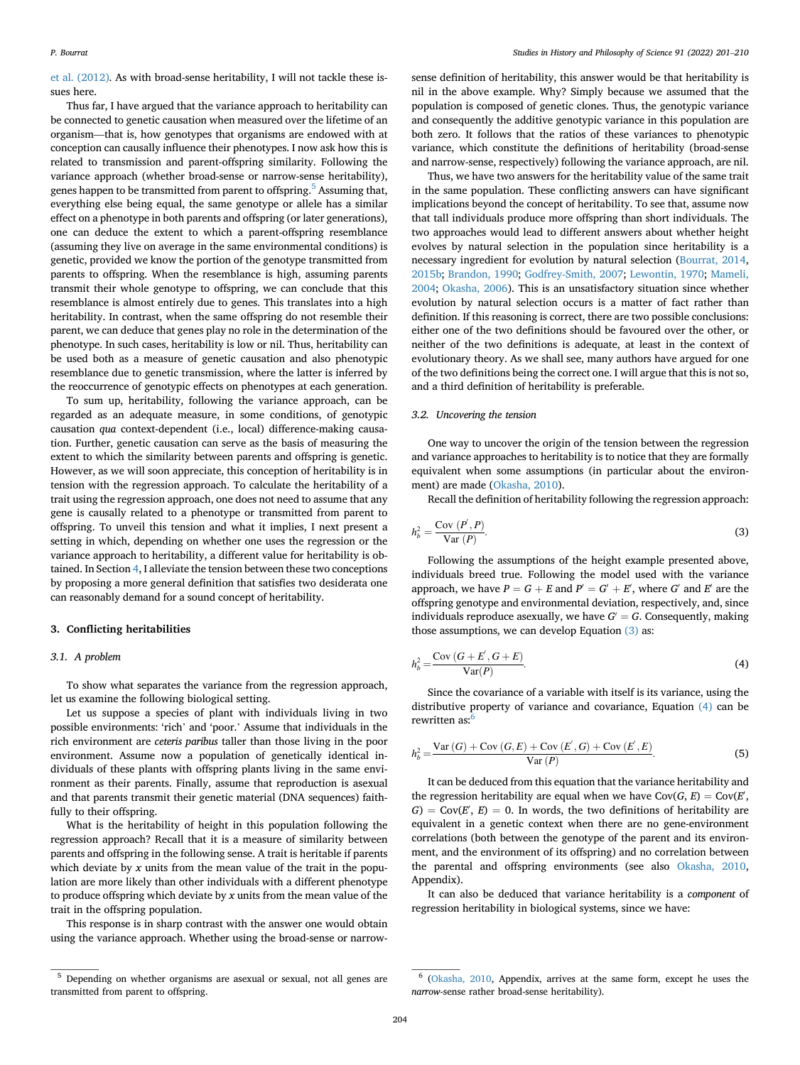[et al. \(2012\)](#page-9-30). As with broad-sense heritability, I will not tackle these issues here.

Thus far, I have argued that the variance approach to heritability can be connected to genetic causation when measured over the lifetime of an organism—that is, how genotypes that organisms are endowed with at conception can causally influence their phenotypes. I now ask how this is related to transmission and parent-offspring similarity. Following the variance approach (whether broad-sense or narrow-sense heritability), genes happen to be transmitted from parent to offspring.<sup>[5](#page-3-0)</sup> Assuming that, everything else being equal, the same genotype or allele has a similar effect on a phenotype in both parents and offspring (or later generations), one can deduce the extent to which a parent-offspring resemblance (assuming they live on average in the same environmental conditions) is genetic, provided we know the portion of the genotype transmitted from parents to offspring. When the resemblance is high, assuming parents transmit their whole genotype to offspring, we can conclude that this resemblance is almost entirely due to genes. This translates into a high heritability. In contrast, when the same offspring do not resemble their parent, we can deduce that genes play no role in the determination of the phenotype. In such cases, heritability is low or nil. Thus, heritability can be used both as a measure of genetic causation and also phenotypic resemblance due to genetic transmission, where the latter is inferred by the reoccurrence of genotypic effects on phenotypes at each generation.

To sum up, heritability, following the variance approach, can be regarded as an adequate measure, in some conditions, of genotypic causation qua context-dependent (i.e., local) difference-making causation. Further, genetic causation can serve as the basis of measuring the extent to which the similarity between parents and offspring is genetic. However, as we will soon appreciate, this conception of heritability is in tension with the regression approach. To calculate the heritability of a trait using the regression approach, one does not need to assume that any gene is causally related to a phenotype or transmitted from parent to offspring. To unveil this tension and what it implies, I next present a setting in which, depending on whether one uses the regression or the variance approach to heritability, a different value for heritability is obtained. In Section [4](#page-4-0), I alleviate the tension between these two conceptions by proposing a more general definition that satisfies two desiderata one can reasonably demand for a sound concept of heritability.

#### 3. Conflicting heritabilities

# 3.1. A problem

To show what separates the variance from the regression approach, let us examine the following biological setting.

Let us suppose a species of plant with individuals living in two possible environments: 'rich' and 'poor.' Assume that individuals in the rich environment are ceteris paribus taller than those living in the poor environment. Assume now a population of genetically identical individuals of these plants with offspring plants living in the same environment as their parents. Finally, assume that reproduction is asexual and that parents transmit their genetic material (DNA sequences) faithfully to their offspring.

What is the heritability of height in this population following the regression approach? Recall that it is a measure of similarity between parents and offspring in the following sense. A trait is heritable if parents which deviate by  $x$  units from the mean value of the trait in the population are more likely than other individuals with a different phenotype to produce offspring which deviate by  $x$  units from the mean value of the trait in the offspring population.

This response is in sharp contrast with the answer one would obtain using the variance approach. Whether using the broad-sense or narrowsense definition of heritability, this answer would be that heritability is nil in the above example. Why? Simply because we assumed that the population is composed of genetic clones. Thus, the genotypic variance and consequently the additive genotypic variance in this population are both zero. It follows that the ratios of these variances to phenotypic variance, which constitute the definitions of heritability (broad-sense and narrow-sense, respectively) following the variance approach, are nil.

Thus, we have two answers for the heritability value of the same trait in the same population. These conflicting answers can have significant implications beyond the concept of heritability. To see that, assume now that tall individuals produce more offspring than short individuals. The two approaches would lead to different answers about whether height evolves by natural selection in the population since heritability is a necessary ingredient for evolution by natural selection [\(Bourrat, 2014,](#page-8-3) [2015b;](#page-8-4) [Brandon, 1990;](#page-9-31) [Godfrey-Smith, 2007](#page-9-32); [Lewontin, 1970](#page-9-33); [Mameli,](#page-9-34) [2004;](#page-9-34) [Okasha, 2006](#page-9-35)). This is an unsatisfactory situation since whether evolution by natural selection occurs is a matter of fact rather than definition. If this reasoning is correct, there are two possible conclusions: either one of the two definitions should be favoured over the other, or neither of the two definitions is adequate, at least in the context of evolutionary theory. As we shall see, many authors have argued for one of the two definitions being the correct one. I will argue that this is not so, and a third definition of heritability is preferable.

# 3.2. Uncovering the tension

One way to uncover the origin of the tension between the regression and variance approaches to heritability is to notice that they are formally equivalent when some assumptions (in particular about the environment) are made [\(Okasha, 2010\)](#page-9-36).

Recall the definition of heritability following the regression approach:

$$
h_b^2 = \frac{\text{Cov} (P', P)}{\text{Var} (P)}.
$$
\n(3)

Following the assumptions of the height example presented above, individuals breed true. Following the model used with the variance approach, we have  $P = G + E$  and  $P' = G' + E'$ , where G' and E' are the offspring genotype and environmental deviation, respectively, and, since individuals reproduce asexually, we have  $G' = G$ . Consequently, making those assumptions, we can develop Equation [\(3\)](#page-1-0) as:

<span id="page-3-1"></span>
$$
h_b^2 = \frac{\text{Cov}(G + E', G + E)}{\text{Var}(P)}.\tag{4}
$$

Since the covariance of a variable with itself is its variance, using the distributive property of variance and covariance, Equation [\(4\)](#page-3-1) can be rewritten as:

$$
h_b^2 = \frac{\text{Var}(G) + \text{Cov}(G, E) + \text{Cov}(E', G) + \text{Cov}(E', E)}{\text{Var}(P)}.
$$
 (5)

It can be deduced from this equation that the variance heritability and the regression heritability are equal when we have  $Cov(G, E) = Cov(E, E)$  $G$ ) = Cov(E', E) = 0. In words, the two definitions of heritability are equivalent in a genetic context when there are no gene-environment correlations (both between the genotype of the parent and its environment, and the environment of its offspring) and no correlation between the parental and offspring environments (see also [Okasha, 2010,](#page-9-36) Appendix).

It can also be deduced that variance heritability is a component of regression heritability in biological systems, since we have:

<span id="page-3-0"></span><sup>5</sup> Depending on whether organisms are asexual or sexual, not all genes are transmitted from parent to offspring.

<span id="page-3-2"></span><sup>6</sup> [\(Okasha, 2010](#page-9-36), Appendix, arrives at the same form, except he uses the narrow-sense rather broad-sense heritability).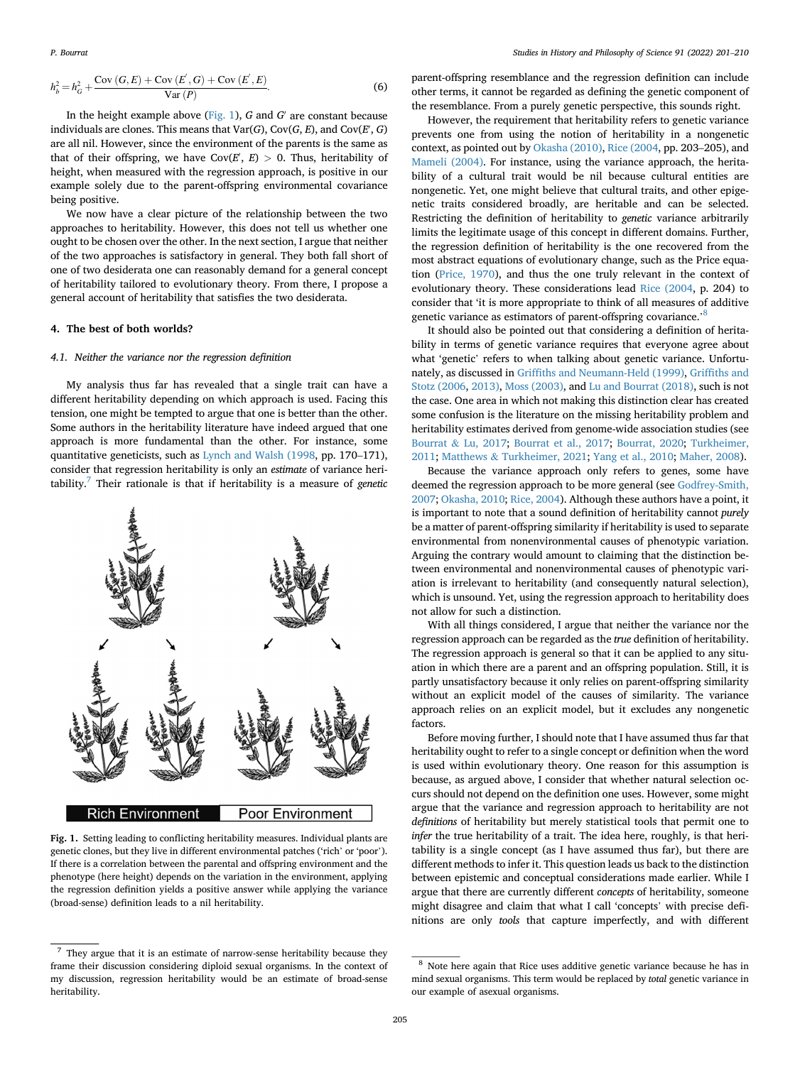$$
h_b^2 = h_G^2 + \frac{\text{Cov}(G, E) + \text{Cov}(E', G) + \text{Cov}(E', E)}{\text{Var}(P)}.
$$
 (6)

In the height example above [\(Fig. 1](#page-4-1)),  $G$  and  $G'$  are constant because individuals are clones. This means that Var(G), Cov(G, E), and Cov(E', G) are all nil. However, since the environment of the parents is the same as that of their offspring, we have Cov(E', E)  $>$  0. Thus, heritability of height, when measured with the regression approach, is positive in our example solely due to the parent-offspring environmental covariance being positive.

We now have a clear picture of the relationship between the two approaches to heritability. However, this does not tell us whether one ought to be chosen over the other. In the next section, I argue that neither of the two approaches is satisfactory in general. They both fall short of one of two desiderata one can reasonably demand for a general concept of heritability tailored to evolutionary theory. From there, I propose a general account of heritability that satisfies the two desiderata.

#### <span id="page-4-0"></span>4. The best of both worlds?

#### 4.1. Neither the variance nor the regression definition

My analysis thus far has revealed that a single trait can have a different heritability depending on which approach is used. Facing this tension, one might be tempted to argue that one is better than the other. Some authors in the heritability literature have indeed argued that one approach is more fundamental than the other. For instance, some quantitative geneticists, such as [Lynch and Walsh \(1998,](#page-9-1) pp. 170–171), consider that regression heritability is only an estimate of variance heri-tability.<sup>[7](#page-4-2)</sup> Their rationale is that if heritability is a measure of *genetic* 

<span id="page-4-1"></span>

Fig. 1. Setting leading to conflicting heritability measures. Individual plants are genetic clones, but they live in different environmental patches ('rich' or 'poor'). If there is a correlation between the parental and offspring environment and the phenotype (here height) depends on the variation in the environment, applying the regression definition yields a positive answer while applying the variance (broad-sense) definition leads to a nil heritability.

parent-offspring resemblance and the regression definition can include other terms, it cannot be regarded as defining the genetic component of the resemblance. From a purely genetic perspective, this sounds right.

However, the requirement that heritability refers to genetic variance prevents one from using the notion of heritability in a nongenetic context, as pointed out by [Okasha \(2010\)](#page-9-36), [Rice \(2004](#page-9-37), pp. 203–205), and [Mameli \(2004\).](#page-9-34) For instance, using the variance approach, the heritability of a cultural trait would be nil because cultural entities are nongenetic. Yet, one might believe that cultural traits, and other epigenetic traits considered broadly, are heritable and can be selected. Restricting the definition of heritability to genetic variance arbitrarily limits the legitimate usage of this concept in different domains. Further, the regression definition of heritability is the one recovered from the most abstract equations of evolutionary change, such as the Price equation [\(Price, 1970](#page-9-38)), and thus the one truly relevant in the context of evolutionary theory. These considerations lead [Rice \(2004,](#page-9-37) p. 204) to consider that 'it is more appropriate to think of all measures of additive genetic variance as estimators of parent-offspring covariance.<sup>[8](#page-4-3)</sup>

It should also be pointed out that considering a definition of heritability in terms of genetic variance requires that everyone agree about what 'genetic' refers to when talking about genetic variance. Unfortunately, as discussed in Griffi[ths and Neumann-Held \(1999\),](#page-9-39) Griffi[ths and](#page-9-40) [Stotz \(2006,](#page-9-40) [2013\),](#page-9-12) [Moss \(2003\),](#page-9-41) and [Lu and Bourrat \(2018\),](#page-9-19) such is not the case. One area in which not making this distinction clear has created some confusion is the literature on the missing heritability problem and heritability estimates derived from genome-wide association studies (see [Bourrat](#page-9-18) & [Lu, 2017;](#page-9-18) [Bourrat et al., 2017](#page-9-42); [Bourrat, 2020](#page-8-1); [Turkheimer,](#page-9-43) [2011;](#page-9-43) [Matthews](#page-9-44) & [Turkheimer, 2021](#page-9-44); [Yang et al., 2010;](#page-9-45) [Maher, 2008](#page-9-46)).

Because the variance approach only refers to genes, some have deemed the regression approach to be more general (see [Godfrey-Smith,](#page-9-32) [2007;](#page-9-32) [Okasha, 2010](#page-9-36); [Rice, 2004](#page-9-37)). Although these authors have a point, it is important to note that a sound definition of heritability cannot purely be a matter of parent-offspring similarity if heritability is used to separate environmental from nonenvironmental causes of phenotypic variation. Arguing the contrary would amount to claiming that the distinction between environmental and nonenvironmental causes of phenotypic variation is irrelevant to heritability (and consequently natural selection), which is unsound. Yet, using the regression approach to heritability does not allow for such a distinction.

With all things considered, I argue that neither the variance nor the regression approach can be regarded as the true definition of heritability. The regression approach is general so that it can be applied to any situation in which there are a parent and an offspring population. Still, it is partly unsatisfactory because it only relies on parent-offspring similarity without an explicit model of the causes of similarity. The variance approach relies on an explicit model, but it excludes any nongenetic factors.

Before moving further, I should note that I have assumed thus far that heritability ought to refer to a single concept or definition when the word is used within evolutionary theory. One reason for this assumption is because, as argued above, I consider that whether natural selection occurs should not depend on the definition one uses. However, some might argue that the variance and regression approach to heritability are not definitions of heritability but merely statistical tools that permit one to infer the true heritability of a trait. The idea here, roughly, is that heritability is a single concept (as I have assumed thus far), but there are different methods to infer it. This question leads us back to the distinction between epistemic and conceptual considerations made earlier. While I argue that there are currently different concepts of heritability, someone might disagree and claim that what I call 'concepts' with precise definitions are only tools that capture imperfectly, and with different

<span id="page-4-2"></span> $^7\,$  They argue that it is an estimate of narrow-sense heritability because they frame their discussion considering diploid sexual organisms. In the context of my discussion, regression heritability would be an estimate of broad-sense heritability.

<span id="page-4-3"></span><sup>8</sup> Note here again that Rice uses additive genetic variance because he has in mind sexual organisms. This term would be replaced by total genetic variance in our example of asexual organisms.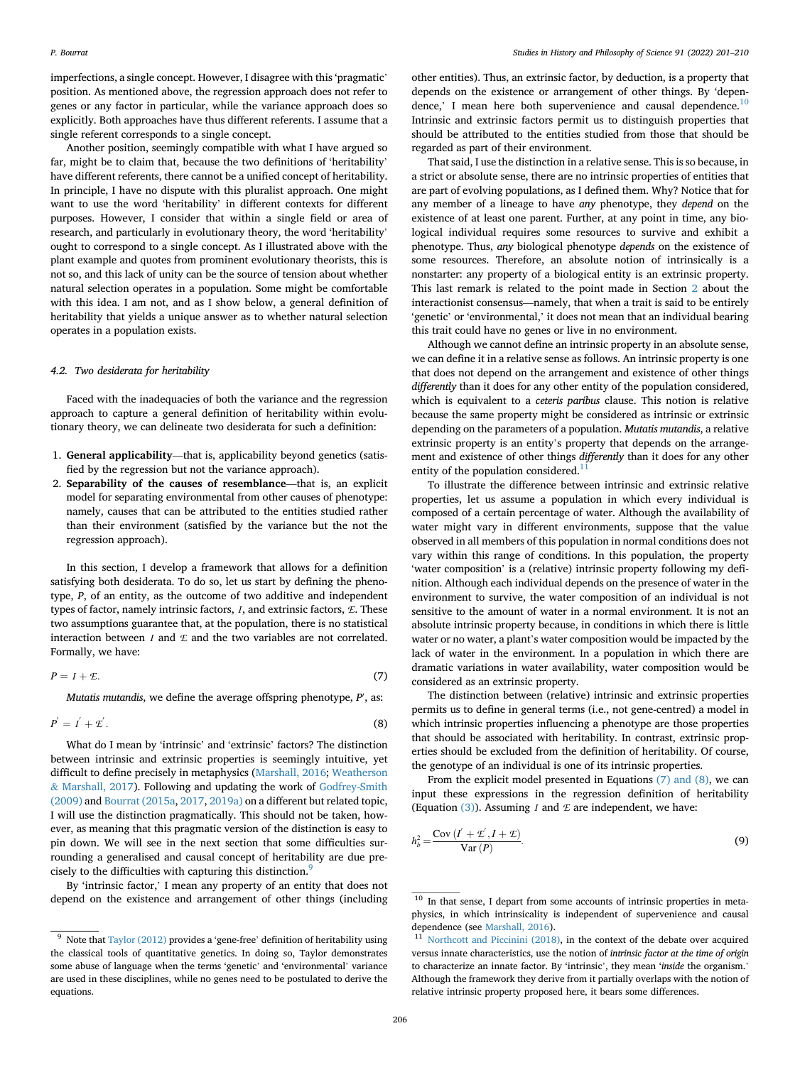imperfections, a single concept. However, I disagree with this 'pragmatic' position. As mentioned above, the regression approach does not refer to genes or any factor in particular, while the variance approach does so explicitly. Both approaches have thus different referents. I assume that a single referent corresponds to a single concept.

Another position, seemingly compatible with what I have argued so far, might be to claim that, because the two definitions of 'heritability' have different referents, there cannot be a unified concept of heritability. In principle, I have no dispute with this pluralist approach. One might want to use the word 'heritability' in different contexts for different purposes. However, I consider that within a single field or area of research, and particularly in evolutionary theory, the word 'heritability' ought to correspond to a single concept. As I illustrated above with the plant example and quotes from prominent evolutionary theorists, this is not so, and this lack of unity can be the source of tension about whether natural selection operates in a population. Some might be comfortable with this idea. I am not, and as I show below, a general definition of heritability that yields a unique answer as to whether natural selection operates in a population exists.

#### 4.2. Two desiderata for heritability

Faced with the inadequacies of both the variance and the regression approach to capture a general definition of heritability within evolutionary theory, we can delineate two desiderata for such a definition:

- 1. General applicability—that is, applicability beyond genetics (satisfied by the regression but not the variance approach).
- 2. Separability of the causes of resemblance—that is, an explicit model for separating environmental from other causes of phenotype: namely, causes that can be attributed to the entities studied rather than their environment (satisfied by the variance but the not the regression approach).

In this section, I develop a framework that allows for a definition satisfying both desiderata. To do so, let us start by defining the phenotype, P, of an entity, as the outcome of two additive and independent types of factor, namely intrinsic factors,  $I$ , and extrinsic factors,  $E$ . These two assumptions guarantee that, at the population, there is no statistical interaction between  $I$  and  $E$  and the two variables are not correlated. Formally, we have:

<span id="page-5-3"></span>
$$
P = I + \mathcal{L}.\tag{7}
$$

Mutatis mutandis, we define the average offspring phenotype, P', as:

$$
P^{'} = I^{'} + \mathcal{L}^{'}.
$$
 (8)

What do I mean by 'intrinsic' and 'extrinsic' factors? The distinction between intrinsic and extrinsic properties is seemingly intuitive, yet difficult to define precisely in metaphysics [\(Marshall, 2016;](#page-9-47) [Weatherson](#page-9-48) & [Marshall, 2017](#page-9-48)). Following and updating the work of [Godfrey-Smith](#page-9-49) [\(2009\)](#page-9-49) and [Bourrat \(2015a](#page-8-5), [2017](#page-8-6), [2019a\)](#page-8-7) on a different but related topic, I will use the distinction pragmatically. This should not be taken, however, as meaning that this pragmatic version of the distinction is easy to pin down. We will see in the next section that some difficulties surrounding a generalised and causal concept of heritability are due pre-cisely to the difficulties with capturing this distinction.<sup>[9](#page-5-0)</sup>

By 'intrinsic factor,' I mean any property of an entity that does not depend on the existence and arrangement of other things (including

other entities). Thus, an extrinsic factor, by deduction, is a property that depends on the existence or arrangement of other things. By 'depen-dence,' I mean here both supervenience and causal dependence.<sup>[10](#page-5-1)</sup> Intrinsic and extrinsic factors permit us to distinguish properties that should be attributed to the entities studied from those that should be regarded as part of their environment.

That said, I use the distinction in a relative sense. This is so because, in a strict or absolute sense, there are no intrinsic properties of entities that are part of evolving populations, as I defined them. Why? Notice that for any member of a lineage to have any phenotype, they depend on the existence of at least one parent. Further, at any point in time, any biological individual requires some resources to survive and exhibit a phenotype. Thus, any biological phenotype depends on the existence of some resources. Therefore, an absolute notion of intrinsically is a nonstarter: any property of a biological entity is an extrinsic property. This last remark is related to the point made in Section [2](#page-1-5) about the interactionist consensus—namely, that when a trait is said to be entirely 'genetic' or 'environmental,' it does not mean that an individual bearing this trait could have no genes or live in no environment.

Although we cannot define an intrinsic property in an absolute sense, we can define it in a relative sense as follows. An intrinsic property is one that does not depend on the arrangement and existence of other things differently than it does for any other entity of the population considered, which is equivalent to a ceteris paribus clause. This notion is relative because the same property might be considered as intrinsic or extrinsic depending on the parameters of a population. Mutatis mutandis, a relative extrinsic property is an entity's property that depends on the arrangement and existence of other things differently than it does for any other entity of the population considered. $\frac{1}{1}$ 

To illustrate the difference between intrinsic and extrinsic relative properties, let us assume a population in which every individual is composed of a certain percentage of water. Although the availability of water might vary in different environments, suppose that the value observed in all members of this population in normal conditions does not vary within this range of conditions. In this population, the property 'water composition' is a (relative) intrinsic property following my definition. Although each individual depends on the presence of water in the environment to survive, the water composition of an individual is not sensitive to the amount of water in a normal environment. It is not an absolute intrinsic property because, in conditions in which there is little water or no water, a plant's water composition would be impacted by the lack of water in the environment. In a population in which there are dramatic variations in water availability, water composition would be considered as an extrinsic property.

The distinction between (relative) intrinsic and extrinsic properties permits us to define in general terms (i.e., not gene-centred) a model in which intrinsic properties influencing a phenotype are those properties that should be associated with heritability. In contrast, extrinsic properties should be excluded from the definition of heritability. Of course, the genotype of an individual is one of its intrinsic properties.

From the explicit model presented in Equations [\(7\) and \(8\),](#page-5-3) we can input these expressions in the regression definition of heritability (Equation  $(3)$ ). Assuming *I* and *E* are independent, we have:

$$
h_b^2 = \frac{\text{Cov} (I' + \mathcal{L}', I + \mathcal{L})}{\text{Var}(P)}.
$$
 (9)

<span id="page-5-0"></span> $9$  Note that [Taylor \(2012\)](#page-9-50) provides a 'gene-free' definition of heritability using the classical tools of quantitative genetics. In doing so, Taylor demonstrates some abuse of language when the terms 'genetic' and 'environmental' variance are used in these disciplines, while no genes need to be postulated to derive the equations.

<span id="page-5-1"></span><sup>&</sup>lt;sup>10</sup> In that sense, I depart from some accounts of intrinsic properties in metaphysics, in which intrinsicality is independent of supervenience and causal dependence (see [Marshall, 2016](#page-9-47)).

<span id="page-5-2"></span><sup>&</sup>lt;sup>11</sup> [Northcott and Piccinini \(2018\)](#page-9-51), in the context of the debate over acquired versus innate characteristics, use the notion of intrinsic factor at the time of origin to characterize an innate factor. By 'intrinsic', they mean 'inside the organism.' Although the framework they derive from it partially overlaps with the notion of relative intrinsic property proposed here, it bears some differences.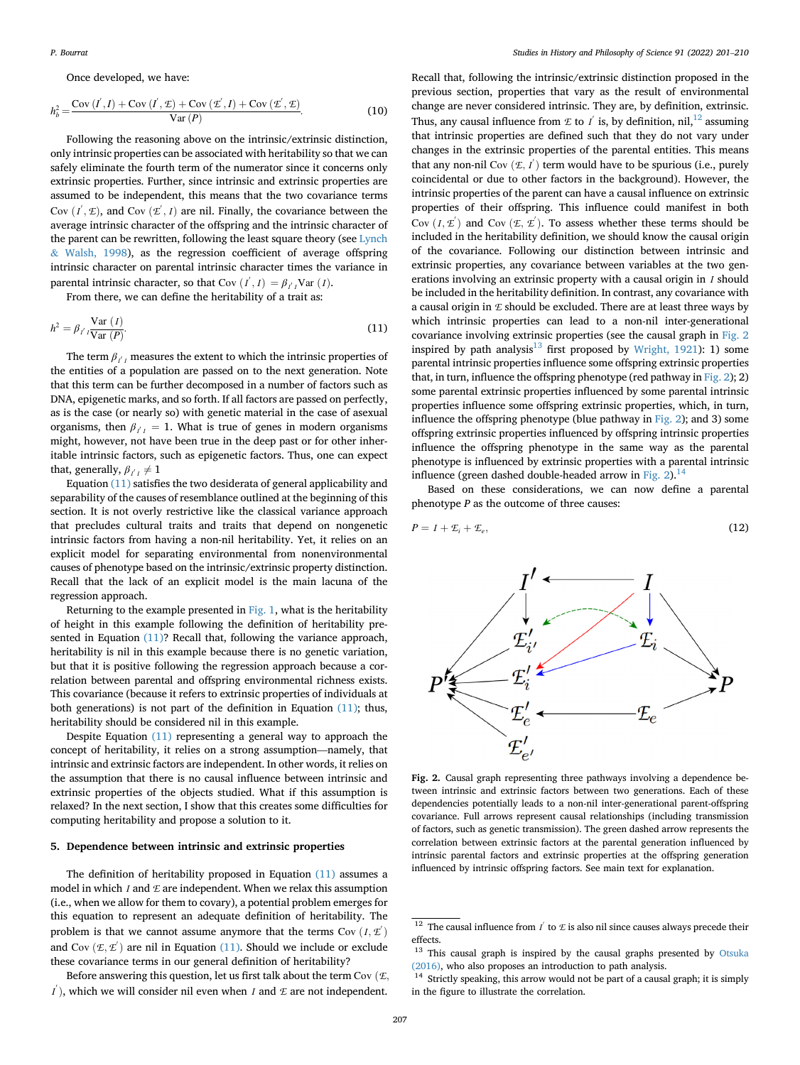### Once developed, we have:

$$
h_b^2 = \frac{\text{Cov} (I', I) + \text{Cov} (I', \mathcal{I}) + \text{Cov} (\mathcal{I}', I) + \text{Cov} (\mathcal{I}', \mathcal{I})}{\text{Var}(P)}.
$$
(10)

Following the reasoning above on the intrinsic/extrinsic distinction, only intrinsic properties can be associated with heritability so that we can safely eliminate the fourth term of the numerator since it concerns only extrinsic properties. Further, since intrinsic and extrinsic properties are assumed to be independent, this means that the two covariance terms Cov  $(I', \mathcal{E})$ , and Cov  $(\mathcal{E}', I)$  are nil. Finally, the covariance between the average intrinsic character of the offspring and the intrinsic character of the parent can be rewritten, following the least square theory (see [Lynch](#page-9-1) & [Walsh, 1998\)](#page-9-1), as the regression coefficient of average offspring intrinsic character on parental intrinsic character times the variance in parental intrinsic character, so that Cov  $(I', I) = \beta_{I'I}$ Var  $(I)$ .

From there, we can define the heritability of a trait as:

<span id="page-6-1"></span>
$$
h^{2} = \beta_{I^{'}I} \frac{\text{Var}(I)}{\text{Var}(P)}.
$$
\n(11)

The term  $\beta_{I|I}$  measures the extent to which the intrinsic properties of the entities of a population are passed on to the next generation. Note that this term can be further decomposed in a number of factors such as DNA, epigenetic marks, and so forth. If all factors are passed on perfectly, as is the case (or nearly so) with genetic material in the case of asexual organisms, then  $\beta_{I|I} = 1$ . What is true of genes in modern organisms might, however, not have been true in the deep past or for other inheritable intrinsic factors, such as epigenetic factors. Thus, one can expect that, generally,  $\beta_{I|I} \neq 1$ 

Equation [\(11\)](#page-6-1) satisfies the two desiderata of general applicability and separability of the causes of resemblance outlined at the beginning of this section. It is not overly restrictive like the classical variance approach that precludes cultural traits and traits that depend on nongenetic intrinsic factors from having a non-nil heritability. Yet, it relies on an explicit model for separating environmental from nonenvironmental causes of phenotype based on the intrinsic/extrinsic property distinction. Recall that the lack of an explicit model is the main lacuna of the regression approach.

Returning to the example presented in [Fig. 1,](#page-4-1) what is the heritability of height in this example following the definition of heritability presented in Equation [\(11\)?](#page-6-1) Recall that, following the variance approach, heritability is nil in this example because there is no genetic variation, but that it is positive following the regression approach because a correlation between parental and offspring environmental richness exists. This covariance (because it refers to extrinsic properties of individuals at both generations) is not part of the definition in Equation [\(11\)](#page-6-1); thus, heritability should be considered nil in this example.

Despite Equation [\(11\)](#page-6-1) representing a general way to approach the concept of heritability, it relies on a strong assumption—namely, that intrinsic and extrinsic factors are independent. In other words, it relies on the assumption that there is no causal influence between intrinsic and extrinsic properties of the objects studied. What if this assumption is relaxed? In the next section, I show that this creates some difficulties for computing heritability and propose a solution to it.

# <span id="page-6-0"></span>5. Dependence between intrinsic and extrinsic properties

The definition of heritability proposed in Equation [\(11\)](#page-6-1) assumes a model in which  $I$  and  $E$  are independent. When we relax this assumption (i.e., when we allow for them to covary), a potential problem emerges for this equation to represent an adequate definition of heritability. The problem is that we cannot assume anymore that the terms  $Cov(I, E')$ and Cov  $(\mathcal{E}, \mathcal{E}')$  are nil in Equation [\(11\).](#page-6-1) Should we include or exclude these covariance terms in our general definition of heritability?

Before answering this question, let us first talk about the term Cov  $(E,$  $I$ ), which we will consider nil even when I and  $E$  are not independent.

Recall that, following the intrinsic/extrinsic distinction proposed in the previous section, properties that vary as the result of environmental change are never considered intrinsic. They are, by definition, extrinsic. Thus, any causal influence from  $E$  to  $I'$  is, by definition, nil, <sup>12</sup> assuming that intrinsic properties are defined such that they do not vary under changes in the extrinsic properties of the parental entities. This means that any non-nil Cov  $(E, I')$  term would have to be spurious (i.e., purely coincidental or due to other factors in the background). However, the intrinsic properties of the parent can have a causal influence on extrinsic properties of their offspring. This influence could manifest in both Cov  $(I, \mathcal{L}')$  and Cov  $(\mathcal{L}, \mathcal{L}')$ . To assess whether these terms should be included in the heritability definition, we should know the causal origin of the covariance. Following our distinction between intrinsic and extrinsic properties, any covariance between variables at the two generations involving an extrinsic property with a causal origin in *I* should be included in the heritability definition. In contrast, any covariance with a causal origin in  $E$  should be excluded. There are at least three ways by which intrinsic properties can lead to a non-nil inter-generational covariance involving extrinsic properties (see the causal graph in [Fig. 2](#page-6-3) inspired by path analysis $^{13}$  first proposed by [Wright, 1921\)](#page-9-52): 1) some parental intrinsic properties influence some offspring extrinsic properties that, in turn, influence the offspring phenotype (red pathway in [Fig. 2](#page-6-3)); 2) some parental extrinsic properties influenced by some parental intrinsic properties influence some offspring extrinsic properties, which, in turn, influence the offspring phenotype (blue pathway in [Fig. 2](#page-6-3)); and 3) some offspring extrinsic properties influenced by offspring intrinsic properties influence the offspring phenotype in the same way as the parental phenotype is influenced by extrinsic properties with a parental intrinsic influence (green dashed double-headed arrow in [Fig. 2\)](#page-6-3).<sup>[14](#page-6-5)</sup>

Based on these considerations, we can now define a parental phenotype  $P$  as the outcome of three causes:

<span id="page-6-3"></span>
$$
P = I + \mathcal{L}_i + \mathcal{L}_e, \tag{12}
$$



Fig. 2. Causal graph representing three pathways involving a dependence between intrinsic and extrinsic factors between two generations. Each of these dependencies potentially leads to a non-nil inter-generational parent-offspring covariance. Full arrows represent causal relationships (including transmission of factors, such as genetic transmission). The green dashed arrow represents the correlation between extrinsic factors at the parental generation influenced by intrinsic parental factors and extrinsic properties at the offspring generation influenced by intrinsic offspring factors. See main text for explanation.

<span id="page-6-2"></span><sup>&</sup>lt;sup>12</sup> The causal influence from  $I'$  to  $E$  is also nil since causes always precede their effects.

<span id="page-6-4"></span><sup>&</sup>lt;sup>13</sup> This causal graph is inspired by the causal graphs presented by [Otsuka](#page-9-53) [\(2016\)](#page-9-53), who also proposes an introduction to path analysis.

<span id="page-6-5"></span><sup>&</sup>lt;sup>14</sup> Strictly speaking, this arrow would not be part of a causal graph; it is simply in the figure to illustrate the correlation.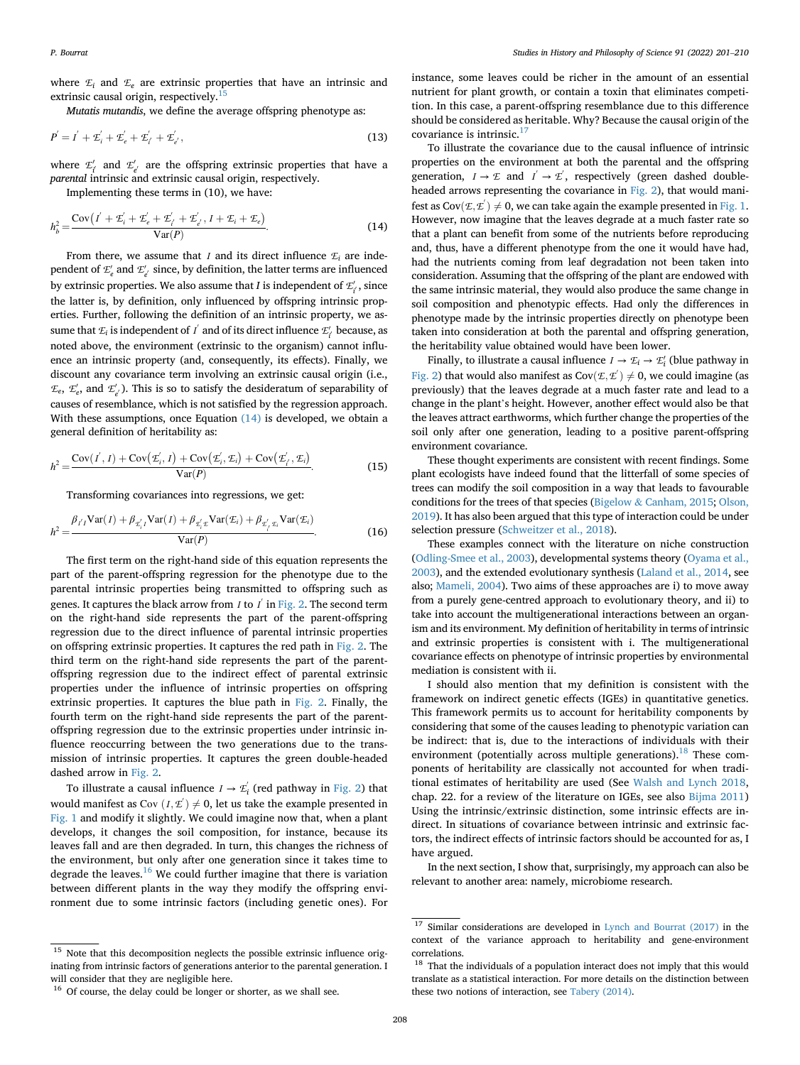where  $E_i$  and  $E_e$  are extrinsic properties that have an intrinsic and extrinsic causal origin, respectively.<sup>1</sup>

Mutatis mutandis, we define the average offspring phenotype as:

$$
P' = I' + \mathcal{L}'_i + \mathcal{L}'_e + \mathcal{L}'_t' + \mathcal{L}'_e',
$$
\n(13)

where  $\mathcal{L}'_{i'}$  and  $\mathcal{L}'_{e'}$  are the offspring extrinsic properties that have a parental intrinsic and extrinsic causal origin, respectively.

Implementing these terms in (10), we have:

<span id="page-7-1"></span>
$$
h_b^2 = \frac{\text{Cov}\left(I' + \mathcal{L}_i' + \mathcal{L}_e' + \mathcal{L}_i' + \mathcal{L}_e', I + \mathcal{L}_i + \mathcal{L}_e\right)}{\text{Var}(P)}.
$$
(14)

From there, we assume that I and its direct influence  $\mathcal{L}_i$  are independent of  $\mathcal{L}'_e$  and  $\mathcal{L}'_{e'}$  since, by definition, the latter terms are influenced by extrinsic properties. We also assume that  $I$  is independent of  $\mathcal{L}_{i^{'}}^{\prime},$  since the latter is, by definition, only influenced by offspring intrinsic properties. Further, following the definition of an intrinsic property, we assume that  $\mathcal{I}_i$  is independent of  $I^{'}$  and of its direct influence  $\mathcal{I}_{i^{'}}'$  because, as noted above, the environment (extrinsic to the organism) cannot influence an intrinsic property (and, consequently, its effects). Finally, we discount any covariance term involving an extrinsic causal origin (i.e.,  $\mathcal{E}_e$ ,  $\mathcal{E}'_e$ , and  $\mathcal{E}'_e$ ). This is so to satisfy the desideratum of separability of causes of resemblance, which is not satisfied by the regression approach. With these assumptions, once Equation  $(14)$  is developed, we obtain a general definition of heritability as:

<span id="page-7-5"></span>
$$
h^{2} = \frac{\text{Cov}(I', I) + \text{Cov}(\mathcal{L}'_{i}, I) + \text{Cov}(\mathcal{L}'_{i}, \mathcal{L}_{i}) + \text{Cov}(\mathcal{L}'_{i}, \mathcal{L}_{i})}{\text{Var}(P)}.
$$
(15)

Transforming covariances into regressions, we get:

<span id="page-7-6"></span>
$$
h^{2} = \frac{\beta_{i'I} \text{Var}(I) + \beta_{x'_{i}I} \text{Var}(I) + \beta_{x'_{i}E} \text{Var}(\mathcal{E}_{i}) + \beta_{x'_{i}x_{i}} \text{Var}(\mathcal{E}_{i})}{\text{Var}(P)}.
$$
(16)

The first term on the right-hand side of this equation represents the part of the parent-offspring regression for the phenotype due to the parental intrinsic properties being transmitted to offspring such as genes. It captures the black arrow from *I* to *I* $\,$  in [Fig. 2.](#page-6-3) The second term on the right-hand side represents the part of the parent-offspring regression due to the direct influence of parental intrinsic properties on offspring extrinsic properties. It captures the red path in [Fig. 2.](#page-6-3) The third term on the right-hand side represents the part of the parentoffspring regression due to the indirect effect of parental extrinsic properties under the influence of intrinsic properties on offspring extrinsic properties. It captures the blue path in [Fig. 2](#page-6-3). Finally, the fourth term on the right-hand side represents the part of the parentoffspring regression due to the extrinsic properties under intrinsic influence reoccurring between the two generations due to the transmission of intrinsic properties. It captures the green double-headed dashed arrow in [Fig. 2.](#page-6-3)

To illustrate a causal influence  $I \rightarrow \mathcal{L}_i'$  (red pathway in [Fig. 2\)](#page-6-3) that would manifest as Cov  $(I, \underline{\mathcal{L}}') \neq 0$ , let us take the example presented in [Fig. 1](#page-4-1) and modify it slightly. We could imagine now that, when a plant develops, it changes the soil composition, for instance, because its leaves fall and are then degraded. In turn, this changes the richness of the environment, but only after one generation since it takes time to degrade the leaves. $16$  We could further imagine that there is variation between different plants in the way they modify the offspring environment due to some intrinsic factors (including genetic ones). For

instance, some leaves could be richer in the amount of an essential nutrient for plant growth, or contain a toxin that eliminates competition. In this case, a parent-offspring resemblance due to this difference should be considered as heritable. Why? Because the causal origin of the covariance is intrinsic.<sup>[17](#page-7-3)</sup>

To illustrate the covariance due to the causal influence of intrinsic properties on the environment at both the parental and the offspring generation,  $I \rightarrow \mathcal{I}$  and  $I \rightarrow \mathcal{I}$ , respectively (green dashed doubleheaded arrows representing the covariance in [Fig. 2](#page-6-3)), that would manifest as  $Cov(\mathcal{E}, \mathcal{E}') \neq 0$ , we can take again the example presented in [Fig. 1.](#page-4-1) However, now imagine that the leaves degrade at a much faster rate so that a plant can benefit from some of the nutrients before reproducing and, thus, have a different phenotype from the one it would have had, had the nutrients coming from leaf degradation not been taken into consideration. Assuming that the offspring of the plant are endowed with the same intrinsic material, they would also produce the same change in soil composition and phenotypic effects. Had only the differences in phenotype made by the intrinsic properties directly on phenotype been taken into consideration at both the parental and offspring generation, the heritability value obtained would have been lower.

Finally, to illustrate a causal influence  $I \rightarrow \mathcal{L}_i \rightarrow \mathcal{L}'_i$  (blue pathway in [Fig. 2](#page-6-3)) that would also manifest as  $Cov(\mathcal{L}, \mathcal{L}') \neq 0$ , we could imagine (as previously) that the leaves degrade at a much faster rate and lead to a change in the plant's height. However, another effect would also be that the leaves attract earthworms, which further change the properties of the soil only after one generation, leading to a positive parent-offspring environment covariance.

These thought experiments are consistent with recent findings. Some plant ecologists have indeed found that the litterfall of some species of trees can modify the soil composition in a way that leads to favourable conditions for the trees of that species ([Bigelow](#page-8-8) & [Canham, 2015](#page-8-8); [Olson,](#page-9-54) [2019\)](#page-9-54). It has also been argued that this type of interaction could be under selection pressure [\(Schweitzer et al., 2018](#page-9-55)).

These examples connect with the literature on niche construction ([Odling-Smee et al., 2003](#page-9-56)), developmental systems theory [\(Oyama et al.,](#page-9-57) [2003\)](#page-9-57), and the extended evolutionary synthesis [\(Laland et al., 2014](#page-9-58), see also; [Mameli, 2004](#page-9-34)). Two aims of these approaches are i) to move away from a purely gene-centred approach to evolutionary theory, and ii) to take into account the multigenerational interactions between an organism and its environment. My definition of heritability in terms of intrinsic and extrinsic properties is consistent with i. The multigenerational covariance effects on phenotype of intrinsic properties by environmental mediation is consistent with ii.

I should also mention that my definition is consistent with the framework on indirect genetic effects (IGEs) in quantitative genetics. This framework permits us to account for heritability components by considering that some of the causes leading to phenotypic variation can be indirect: that is, due to the interactions of individuals with their environment (potentially across multiple generations).<sup>[18](#page-7-4)</sup> These components of heritability are classically not accounted for when traditional estimates of heritability are used (See [Walsh and Lynch 2018,](#page-9-59) chap. 22. for a review of the literature on IGEs, see also [Bijma 2011\)](#page-8-9) Using the intrinsic/extrinsic distinction, some intrinsic effects are indirect. In situations of covariance between intrinsic and extrinsic factors, the indirect effects of intrinsic factors should be accounted for as, I have argued.

In the next section, I show that, surprisingly, my approach can also be relevant to another area: namely, microbiome research.

<span id="page-7-0"></span> $^{15}\,$  Note that this decomposition neglects the possible extrinsic influence originating from intrinsic factors of generations anterior to the parental generation. I will consider that they are negligible here.

<span id="page-7-3"></span> $17$  Similar considerations are developed in [Lynch and Bourrat \(2017\)](#page-9-8) in the context of the variance approach to heritability and gene-environment correlations.

<span id="page-7-4"></span><sup>&</sup>lt;sup>18</sup> That the individuals of a population interact does not imply that this would translate as a statistical interaction. For more details on the distinction between these two notions of interaction, see [Tabery \(2014\)](#page-9-7).

<span id="page-7-2"></span><sup>&</sup>lt;sup>16</sup> Of course, the delay could be longer or shorter, as we shall see.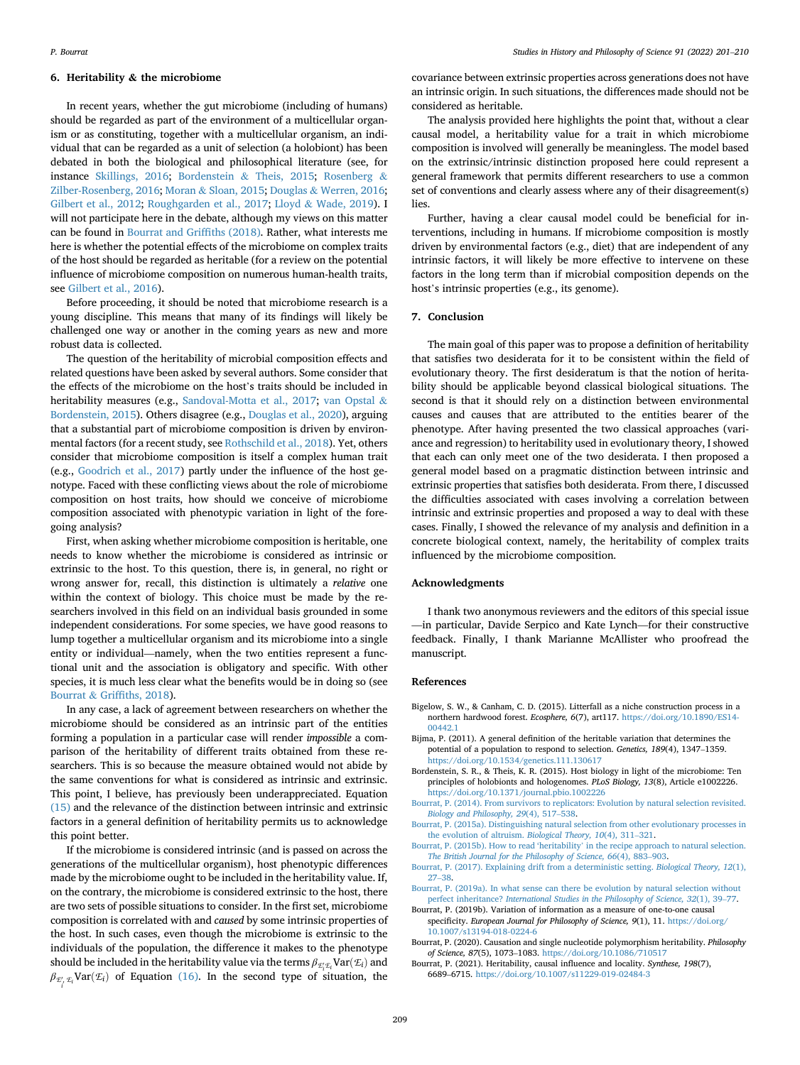# 6. Heritability & the microbiome

In recent years, whether the gut microbiome (including of humans) should be regarded as part of the environment of a multicellular organism or as constituting, together with a multicellular organism, an individual that can be regarded as a unit of selection (a holobiont) has been debated in both the biological and philosophical literature (see, for instance [Skillings, 2016;](#page-9-60) [Bordenstein](#page-8-10) & [Theis, 2015](#page-8-10); [Rosenberg](#page-9-61) & [Zilber-Rosenberg, 2016](#page-9-61); [Moran](#page-9-62) & [Sloan, 2015](#page-9-62); [Douglas](#page-9-63) & [Werren, 2016;](#page-9-63) [Gilbert et al., 2012](#page-9-64); [Roughgarden et al., 2017;](#page-9-65) [Lloyd](#page-9-66) & [Wade, 2019](#page-9-66)). I will not participate here in the debate, although my views on this matter can be found in [Bourrat and Grif](#page-9-67)fiths (2018). Rather, what interests me here is whether the potential effects of the microbiome on complex traits of the host should be regarded as heritable (for a review on the potential influence of microbiome composition on numerous human-health traits, see [Gilbert et al., 2016](#page-9-68)).

Before proceeding, it should be noted that microbiome research is a young discipline. This means that many of its findings will likely be challenged one way or another in the coming years as new and more robust data is collected.

The question of the heritability of microbial composition effects and related questions have been asked by several authors. Some consider that the effects of the microbiome on the host's traits should be included in heritability measures (e.g., [Sandoval-Motta et al., 2017;](#page-9-69) [van Opstal](#page-9-70) & [Bordenstein, 2015](#page-9-70)). Others disagree (e.g., [Douglas et al., 2020\)](#page-9-71), arguing that a substantial part of microbiome composition is driven by environmental factors (for a recent study, see [Rothschild et al., 2018\)](#page-9-72). Yet, others consider that microbiome composition is itself a complex human trait (e.g., [Goodrich et al., 2017](#page-9-73)) partly under the influence of the host genotype. Faced with these conflicting views about the role of microbiome composition on host traits, how should we conceive of microbiome composition associated with phenotypic variation in light of the foregoing analysis?

First, when asking whether microbiome composition is heritable, one needs to know whether the microbiome is considered as intrinsic or extrinsic to the host. To this question, there is, in general, no right or wrong answer for, recall, this distinction is ultimately a relative one within the context of biology. This choice must be made by the researchers involved in this field on an individual basis grounded in some independent considerations. For some species, we have good reasons to lump together a multicellular organism and its microbiome into a single entity or individual—namely, when the two entities represent a functional unit and the association is obligatory and specific. With other species, it is much less clear what the benefits would be in doing so (see [Bourrat](#page-9-67) & Griffi[ths, 2018](#page-9-67)).

In any case, a lack of agreement between researchers on whether the microbiome should be considered as an intrinsic part of the entities forming a population in a particular case will render impossible a comparison of the heritability of different traits obtained from these researchers. This is so because the measure obtained would not abide by the same conventions for what is considered as intrinsic and extrinsic. This point, I believe, has previously been underappreciated. Equation [\(15\)](#page-7-5) and the relevance of the distinction between intrinsic and extrinsic factors in a general definition of heritability permits us to acknowledge this point better.

If the microbiome is considered intrinsic (and is passed on across the generations of the multicellular organism), host phenotypic differences made by the microbiome ought to be included in the heritability value. If, on the contrary, the microbiome is considered extrinsic to the host, there are two sets of possible situations to consider. In the first set, microbiome composition is correlated with and caused by some intrinsic properties of the host. In such cases, even though the microbiome is extrinsic to the individuals of the population, the difference it makes to the phenotype should be included in the heritability value via the terms  $\beta_{\mathcal{I}'_i \mathcal{I}_i}$ Var $(\mathcal{I}_i)$  and  $\beta_{\mathcal{E}'_i,\mathcal{E}_i}$ Var $(\mathcal{E}_i)$  of Equation [\(16\).](#page-7-6) In the second type of situation, the i

covariance between extrinsic properties across generations does not have an intrinsic origin. In such situations, the differences made should not be considered as heritable.

The analysis provided here highlights the point that, without a clear causal model, a heritability value for a trait in which microbiome composition is involved will generally be meaningless. The model based on the extrinsic/intrinsic distinction proposed here could represent a general framework that permits different researchers to use a common set of conventions and clearly assess where any of their disagreement(s) lies.

Further, having a clear causal model could be beneficial for interventions, including in humans. If microbiome composition is mostly driven by environmental factors (e.g., diet) that are independent of any intrinsic factors, it will likely be more effective to intervene on these factors in the long term than if microbial composition depends on the host's intrinsic properties (e.g., its genome).

#### 7. Conclusion

The main goal of this paper was to propose a definition of heritability that satisfies two desiderata for it to be consistent within the field of evolutionary theory. The first desideratum is that the notion of heritability should be applicable beyond classical biological situations. The second is that it should rely on a distinction between environmental causes and causes that are attributed to the entities bearer of the phenotype. After having presented the two classical approaches (variance and regression) to heritability used in evolutionary theory, I showed that each can only meet one of the two desiderata. I then proposed a general model based on a pragmatic distinction between intrinsic and extrinsic properties that satisfies both desiderata. From there, I discussed the difficulties associated with cases involving a correlation between intrinsic and extrinsic properties and proposed a way to deal with these cases. Finally, I showed the relevance of my analysis and definition in a concrete biological context, namely, the heritability of complex traits influenced by the microbiome composition.

#### Acknowledgments

I thank two anonymous reviewers and the editors of this special issue —in particular, Davide Serpico and Kate Lynch—for their constructive feedback. Finally, I thank Marianne McAllister who proofread the manuscript.

#### References

- <span id="page-8-8"></span>Bigelow, S. W., & Canham, C. D. (2015). Litterfall as a niche construction process in a northern hardwood forest. Ecosphere, 6(7), art117. [https://doi.org/10.1890/ES14-](https://doi.org/10.1890/ES14-00442.1) [00442.1](https://doi.org/10.1890/ES14-00442.1)
- <span id="page-8-9"></span>Bijma, P. (2011). A general definition of the heritable variation that determines the potential of a population to respond to selection. Genetics, 189(4), 1347–1359. <https://doi.org/10.1534/genetics.111.130617>
- <span id="page-8-10"></span>Bordenstein, S. R., & Theis, K. R. (2015). Host biology in light of the microbiome: Ten principles of holobionts and hologenomes. PLoS Biology, 13(8), Article e1002226. <https://doi.org/10.1371/journal.pbio.1002226>
- <span id="page-8-3"></span>[Bourrat, P. \(2014\). From survivors to replicators: Evolution by natural selection revisited.](http://refhub.elsevier.com/S0039-3681(21)00175-8/sref4) [Biology and Philosophy, 29](http://refhub.elsevier.com/S0039-3681(21)00175-8/sref4)(4), 517–[538.](http://refhub.elsevier.com/S0039-3681(21)00175-8/sref4)
- <span id="page-8-5"></span>[Bourrat, P. \(2015a\). Distinguishing natural selection from other evolutionary processes in](http://refhub.elsevier.com/S0039-3681(21)00175-8/sref5) [the evolution of altruism.](http://refhub.elsevier.com/S0039-3681(21)00175-8/sref5) Biological Theory, 10(4), 311–[321.](http://refhub.elsevier.com/S0039-3681(21)00175-8/sref5)
- <span id="page-8-4"></span>Bourrat, P. (2015b). How to read 'heritability' [in the recipe approach to natural selection.](http://refhub.elsevier.com/S0039-3681(21)00175-8/sref6) [The British Journal for the Philosophy of Science, 66](http://refhub.elsevier.com/S0039-3681(21)00175-8/sref6)(4), 883–[903](http://refhub.elsevier.com/S0039-3681(21)00175-8/sref6).
- <span id="page-8-6"></span>[Bourrat, P. \(2017\). Explaining drift from a deterministic setting.](http://refhub.elsevier.com/S0039-3681(21)00175-8/sref7) Biological Theory, 12(1), [27](http://refhub.elsevier.com/S0039-3681(21)00175-8/sref7)–[38](http://refhub.elsevier.com/S0039-3681(21)00175-8/sref7).
- <span id="page-8-7"></span>[Bourrat, P. \(2019a\). In what sense can there be evolution by natural selection without](http://refhub.elsevier.com/S0039-3681(21)00175-8/sref8) perfect inheritance? [International Studies in the Philosophy of Science, 32](http://refhub.elsevier.com/S0039-3681(21)00175-8/sref8)(1), 39–[77.](http://refhub.elsevier.com/S0039-3681(21)00175-8/sref8)
- <span id="page-8-2"></span>Bourrat, P. (2019b). Variation of information as a measure of one-to-one causal specificity. European Journal for Philosophy of Science, 9(1), 11. [https://doi.org/](https://doi.org/10.1007/s13194-018-0224-6) [10.1007/s13194-018-0224-6](https://doi.org/10.1007/s13194-018-0224-6)
- <span id="page-8-1"></span>Bourrat, P. (2020). Causation and single nucleotide polymorphism heritability. Philosophy of Science, 87(5), 1073–1083. <https://doi.org/10.1086/710517>
- <span id="page-8-0"></span>Bourrat, P. (2021). Heritability, causal influence and locality. Synthese, 198(7), 6689–6715. <https://doi.org/10.1007/s11229-019-02484-3>